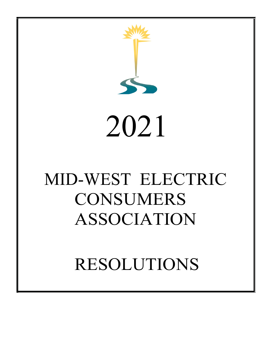



# MID-WEST ELECTRIC CONSUMERS ASSOCIATION

RESOLUTIONS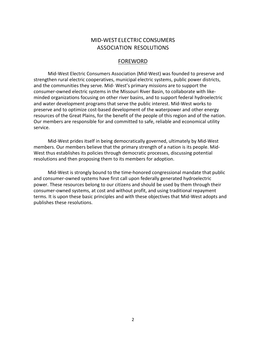# MID-WEST ELECTRIC CONSUMERS ASSOCIATION RESOLUTIONS

# FOREWORD

 Mid-West Electric Consumers Association (Mid-West) was founded to preserve and strengthen rural electric cooperatives, municipal electric systems, public power districts, and the communities they serve. Mid- West's primary missions are to support the consumer-owned electric systems in the Missouri River Basin, to collaborate with likeminded organizations focusing on other river basins, and to support federal hydroelectric and water development programs that serve the public interest. Mid-West works to preserve and to optimize cost-based development of the waterpower and other energy resources of the Great Plains, for the benefit of the people of this region and of the nation. Our members are responsible for and committed to safe, reliable and economical utility service.

 Mid-West prides itself in being democratically governed, ultimately by Mid-West members. Our members believe that the primary strength of a nation is its people. Mid-West thus establishes its policies through democratic processes, discussing potential resolutions and then proposing them to its members for adoption.

 Mid-West is strongly bound to the time-honored congressional mandate that public and consumer-owned systems have first call upon federally generated hydroelectric power. These resources belong to our citizens and should be used by them through their consumer-owned systems, at cost and without profit, and using traditional repayment terms. It is upon these basic principles and with these objectives that Mid-West adopts and publishes these resolutions.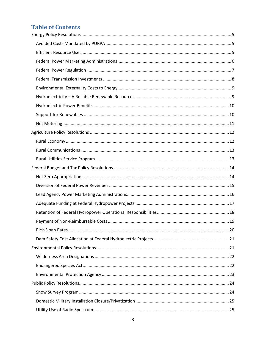# **Table of Contents**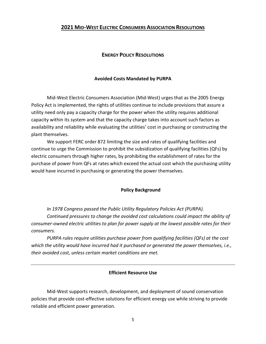# <span id="page-4-0"></span>**2021 MID-WEST ELECTRIC CONSUMERS ASSOCIATION RESOLUTIONS**

# **ENERGY POLICY RESOLUTIONS**

#### **Avoided Costs Mandated by PURPA**

<span id="page-4-1"></span>Mid-West Electric Consumers Association (Mid-West) urges that as the 2005 Energy Policy Act is implemented, the rights of utilities continue to include provisions that assure a utility need only pay a capacity charge for the power when the utility requires additional capacity within its system and that the capacity charge takes into account such factors as availability and reliability while evaluating the utilities' cost in purchasing or constructing the plant themselves.

We support FERC order 872 limiting the size and rates of qualifying facilities and continue to urge the Commission to prohibit the subsidization of qualifying facilities (QFs) by electric consumers through higher rates, by prohibiting the establishment of rates for the purchase of power from QFs at rates which exceed the actual cost which the purchasing utility would have incurred in purchasing or generating the power themselves.

#### **Policy Background**

*In 1978 Congress passed the Public Utility Regulatory Policies Act (PURPA).* 

*Continued pressures to change the avoided cost calculations could impact the ability of consumer-owned electric utilities to plan for power supply at the lowest possible rates for their consumers.*

*PURPA rules require utilities purchase power from qualifying facilities (QFs) at the cost which the utility would have incurred had it purchased or generated the power themselves, i.e., their avoided cost, unless certain market conditions are met.*

# **Efficient Resource Use**

<span id="page-4-2"></span>Mid-West supports research, development, and deployment of sound conservation policies that provide cost-effective solutions for efficient energy use while striving to provide reliable and efficient power generation.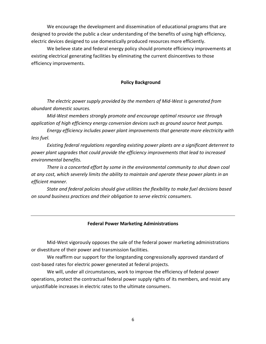We encourage the development and dissemination of educational programs that are designed to provide the public a clear understanding of the benefits of using high efficiency, electric devices designed to use domestically produced resources more efficiently.

We believe state and federal energy policy should promote efficiency improvements at existing electrical generating facilities by eliminating the current disincentives to those efficiency improvements.

# **Policy Background**

*The electric power supply provided by the members of Mid-West is generated from abundant domestic sources.*

*Mid-West members strongly promote and encourage optimal resource use through application of high efficiency energy conversion devices such as ground source heat pumps.*

*Energy efficiency includes power plant improvements that generate more electricity with less fuel.*

*Existing federal regulations regarding existing power plants are a significant deterrent to power plant upgrades that could provide the efficiency improvements that lead to increased environmental benefits.*

*There is a concerted effort by some in the environmental community to shut down coal at any cost, which severely limits the ability to maintain and operate these power plants in an efficient manner.*

*State and federal policies should give utilities the flexibility to make fuel decisions based on sound business practices and their obligation to serve electric consumers.*

# **Federal Power Marketing Administrations**

<span id="page-5-0"></span>Mid-West vigorously opposes the sale of the federal power marketing administrations or divestiture of their power and transmission facilities.

We reaffirm our support for the longstanding congressionally approved standard of cost-based rates for electric power generated at federal projects.

We will, under all circumstances, work to improve the efficiency of federal power operations, protect the contractual federal power supply rights of its members, and resist any unjustifiable increases in electric rates to the ultimate consumers.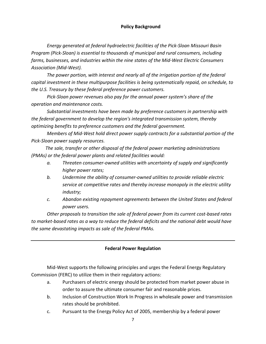# **Policy Background**

*Energy generated at federal hydroelectric facilities of the Pick-Sloan Missouri Basin Program (Pick-Sloan) is essential to thousands of municipal and rural consumers, including farms, businesses, and industries within the nine states of the Mid-West Electric Consumers Association (Mid-West).*

*The power portion, with interest and nearly all of the irrigation portion of the federal capital investment in these multipurpose facilities is being systematically repaid, on schedule, to the U.S. Treasury by these federal preference power customers.*

*Pick-Sloan power revenues also pay for the annual power system's share of the operation and maintenance costs.*

*Substantial investments have been made by preference customers in partnership with the federal government to develop the region's integrated transmission system, thereby optimizing benefits to preference customers and the federal government.*

*Members of Mid-West hold direct power supply contracts for a substantial portion of the Pick-Sloan power supply resources.*

 *The sale, transfer or other disposal of the federal power marketing administrations (PMAs) or the federal power plants and related facilities would:*

- *a. Threaten consumer-owned utilities with uncertainty of supply and significantly higher power rates;*
- *b. Undermine the ability of consumer-owned utilities to provide reliable electric service at competitive rates and thereby increase monopoly in the electric utility industry;*
- *c. Abandon existing repayment agreements between the United States and federal power users.*

*Other proposals to transition the sale of federal power from its current cost-based rates to market-based rates as a way to reduce the federal deficits and the national debt would have the same devastating impacts as sale of the federal PMAs.*

# **Federal Power Regulation**

<span id="page-6-0"></span>Mid-West supports the following principles and urges the Federal Energy Regulatory Commission (FERC) to utilize them in their regulatory actions:

- a. Purchasers of electric energy should be protected from market power abuse in order to assure the ultimate consumer fair and reasonable prices.
- b. Inclusion of Construction Work In Progress in wholesale power and transmission rates should be prohibited.
- c. Pursuant to the Energy Policy Act of 2005, membership by a federal power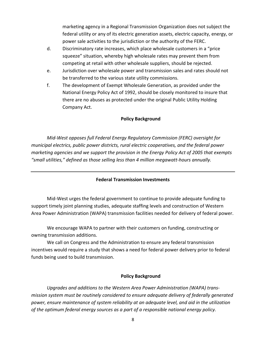marketing agency in a Regional Transmission Organization does not subject the federal utility or any of its electric generation assets, electric capacity, energy, or power sale activities to the jurisdiction or the authority of the FERC.

- d. Discriminatory rate increases, which place wholesale customers in a "price squeeze" situation, whereby high wholesale rates may prevent them from competing at retail with other wholesale suppliers, should be rejected.
- e. Jurisdiction over wholesale power and transmission sales and rates should not be transferred to the various state utility commissions.
- f. The development of Exempt Wholesale Generation, as provided under the National Energy Policy Act of 1992, should be closely monitored to insure that there are no abuses as protected under the original Public Utility Holding Company Act.

# **Policy Background**

*Mid-West opposes full Federal Energy Regulatory Commission (FERC) oversight for municipal electrics, public power districts, rural electric cooperatives, and the federal power marketing agencies and we support the provision in the Energy Policy Act of 2005 that exempts "small utilities," defined as those selling less than 4 million megawatt-hours annually.*

# **Federal Transmission Investments**

<span id="page-7-0"></span>Mid-West urges the federal government to continue to provide adequate funding to support timely joint planning studies, adequate staffing levels and construction of Western Area Power Administration (WAPA) transmission facilities needed for delivery of federal power.

We encourage WAPA to partner with their customers on funding, constructing or owning transmission additions.

We call on Congress and the Administration to ensure any federal transmission incentives would require a study that shows a need for federal power delivery prior to federal funds being used to build transmission.

# **Policy Background**

*Upgrades and additions to the Western Area Power Administration (WAPA) transmission system must be routinely considered to ensure adequate delivery of federally generated power, ensure maintenance of system reliability at an adequate level, and aid in the utilization of the optimum federal energy sources as a part of a responsible national energy policy.*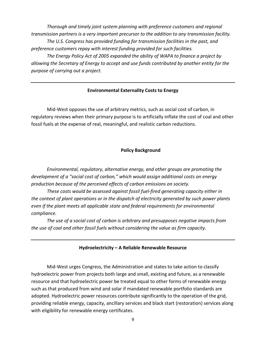*Thorough and timely joint system planning with preference customers and regional transmission partners is a very important precursor to the addition to any transmission facility. The U.S. Congress has provided funding for transmission facilities in the past, and preference customers repay with interest funding provided for such facilities.*

*The Energy Policy Act of 2005 expanded the ability of WAPA to finance a project by allowing the Secretary of Energy to accept and use funds contributed by another entity for the purpose of carrying out a project.*

# **Environmental Externality Costs to Energy**

<span id="page-8-0"></span>Mid-West opposes the use of arbitrary metrics, such as social cost of carbon, in regulatory reviews when their primary purpose is to artificially inflate the cost of coal and other fossil fuels at the expense of real, meaningful, and realistic carbon reductions.

# **Policy Background**

*Environmental, regulatory, alternative energy, and other groups are promoting the development of a "social cost of carbon," which would assign additional costs on energy production because of the perceived effects of carbon emissions on society.*

*These costs would be assessed against fossil fuel-fired generating capacity either in the context of plant operations or in the dispatch of electricity generated by such power plants even if the plant meets all applicable state and federal requirements for environmental compliance.*

*The use of a social cost of carbon is arbitrary and presupposes negative impacts from the use of coal and other fossil fuels without considering the value as firm capacity.* 

#### **Hydroelectricity – A Reliable Renewable Resource**

<span id="page-8-1"></span>Mid-West urges Congress, the Administration and states to take action to classify hydroelectric power from projects both large and small, existing and future, as a renewable resource and that hydroelectric power be treated equal to other forms of renewable energy such as that produced from wind and solar if mandated renewable portfolio standards are adopted. Hydroelectric power resources contribute significantly to the operation of the grid, providing reliable energy, capacity, ancillary services and black start (restoration) services along with eligibility for renewable energy certificates.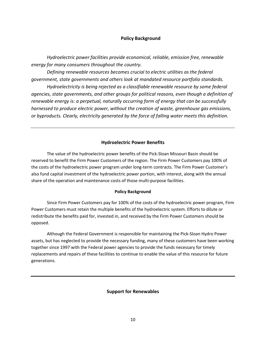# **Policy Background**

*Hydroelectric power facilities provide economical, reliable, emission free, renewable energy for many consumers throughout the country.*

*Defining renewable resources becomes crucial to electric utilities as the federal government, state governments and others look at mandated resource portfolio standards.*

*Hydroelectricity is being rejected as a classifiable renewable resource by some federal agencies, state governments, and other groups for political reasons, even though a definition of renewable energy is: a perpetual, naturally occurring form of energy that can be successfully harnessed to produce electric power, without the creation of waste, greenhouse gas emissions, or byproducts. Clearly, electricity generated by the force of falling water meets this definition.*

# **Hydroelectric Power Benefits**

<span id="page-9-0"></span>The value of the hydroelectric power benefits of the Pick-Sloan Missouri Basin should be reserved to benefit the Firm Power Customers of the region. The Firm Power Customers pay 100% of the costs of the hydroelectric power program under long-term contracts. The Firm Power Customer's also fund capital investment of the hydroelectric power portion, with interest, along with the annual share of the operation and maintenance costs of those multi-purpose facilities.

# **Policy Background**

Since Firm Power Customers pay for 100% of the costs of the hydroelectric power program, Firm Power Customers must retain the multiple benefits of the hydroelectric system. Efforts to dilute or redistribute the benefits paid for, invested in, and received by the Firm Power Customers should be opposed.

<span id="page-9-1"></span>Although the Federal Government is responsible for maintaining the Pick-Sloan Hydro Power assets, but has neglected to provide the necessary funding, many of these customers have been working together since 1997 with the Federal power agencies to provide the funds necessary for timely replacements and repairs of these facilities to continue to enable the value of this resource for future generations.

# **Support for Renewables**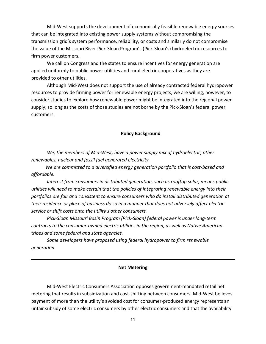Mid-West supports the development of economically feasible renewable energy sources that can be integrated into existing power supply systems without compromising the transmission grid's system performance, reliability, or costs and similarly do not compromise the value of the Missouri River Pick-Sloan Program's (Pick-Sloan's) hydroelectric resources to firm power customers.

We call on Congress and the states to ensure incentives for energy generation are applied uniformly to public power utilities and rural electric cooperatives as they are provided to other utilities.

Although Mid-West does not support the use of already contracted federal hydropower resources to provide firming power for renewable energy projects, we are willing, however, to consider studies to explore how renewable power might be integrated into the regional power supply, so long as the costs of those studies are not borne by the Pick-Sloan's federal power customers.

# **Policy Background**

*We, the members of Mid-West, have a power supply mix of hydroelectric, other renewables, nuclear and fossil fuel generated electricity.*

 *We are committed to a diversified energy generation portfolio that is cost-based and affordable.*

*Interest from consumers in distributed generation, such as rooftop solar, means public utilities will need to make certain that the policies of integrating renewable energy into their portfolios are fair and consistent to ensure consumers who do install distributed generation at their residence or place of business do so in a manner that does not adversely affect electric service or shift costs onto the utility's other consumers.*

*Pick-Sloan Missouri Basin Program (Pick-Sloan) federal power is under long-term contracts to the consumer-owned electric utilities in the region, as well as Native American tribes and some federal and state agencies.*

*Some developers have proposed using federal hydropower to firm renewable generation.*

# **Net Metering**

<span id="page-10-0"></span>Mid-West Electric Consumers Association opposes government-mandated retail net metering that results in subsidization and cost-shifting between consumers. Mid-West believes payment of more than the utility's avoided cost for consumer-produced energy represents an unfair subsidy of some electric consumers by other electric consumers and that the availability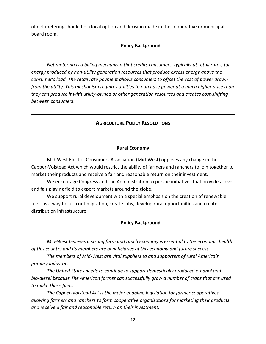of net metering should be a local option and decision made in the cooperative or municipal board room.

# **Policy Background**

*Net metering is a billing mechanism that credits consumers, typically at retail rates, for energy produced by non-utility generation resources that produce excess energy above the consumer's load. The retail rate payment allows consumers to offset the cost of power drawn from the utility. This mechanism requires utilities to purchase power at a much higher price than they can produce it with utility-owned or other generation resources and creates cost-shifting between consumers.* 

# **AGRICULTURE POLICY RESOLUTIONS**

# **Rural Economy**

<span id="page-11-1"></span><span id="page-11-0"></span>Mid-West Electric Consumers Association (Mid-West) opposes any change in the Capper-Volstead Act which would restrict the ability of farmers and ranchers to join together to market their products and receive a fair and reasonable return on their investment.

We encourage Congress and the Administration to pursue initiatives that provide a level and fair playing field to export markets around the globe.

We support rural development with a special emphasis on the creation of renewable fuels as a way to curb out migration, create jobs, develop rural opportunities and create distribution infrastructure.

# **Policy Background**

*Mid-West believes a strong farm and ranch economy is essential to the economic health of this country and its members are beneficiaries of this economy and future success.*

*The members of Mid-West are vital suppliers to and supporters of rural America's primary industries.*

*The United States needs to continue to support domestically produced ethanol and bio-diesel because The American farmer can successfully grow a number of crops that are used to make these fuels.*

*The Capper-Volstead Act is the major enabling legislation for farmer cooperatives, allowing farmers and ranchers to form cooperative organizations for marketing their products and receive a fair and reasonable return on their investment.*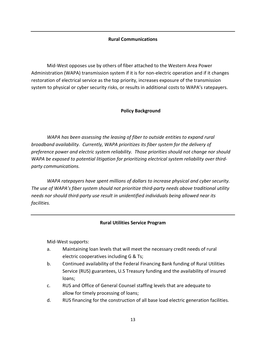# **Rural Communications**

<span id="page-12-0"></span>Mid-West opposes use by others of fiber attached to the Western Area Power Administration (WAPA) transmission system if it is for non-electric operation and if it changes restoration of electrical service as the top priority, increases exposure of the transmission system to physical or cyber security risks, or results in additional costs to WAPA's ratepayers.

# **Policy Background**

*WAPA has been assessing the leasing of fiber to outside entities to expand rural broadband availability. Currently, WAPA prioritizes its fiber system for the delivery of preference power and electric system reliability. Those priorities should not change nor should WAPA be exposed to potential litigation for prioritizing electrical system reliability over thirdparty communications.*

*WAPA ratepayers have spent millions of dollars to increase physical and cyber security. The use of WAPA's fiber system should not prioritize third-party needs above traditional utility needs nor should third-party use result in unidentified individuals being allowed near its facilities.*

# **Rural Utilities Service Program**

<span id="page-12-1"></span>Mid-West supports:

- a. Maintaining loan levels that will meet the necessary credit needs of rural electric cooperatives including G & Ts;
- b. Continued availability of the Federal Financing Bank funding of Rural Utilities Service (RUS) guarantees, U.S Treasury funding and the availability of insured loans;
- c. RUS and Office of General Counsel staffing levels that are adequate to allow for timely processing of loans;
- d. RUS financing for the construction of all base load electric generation facilities.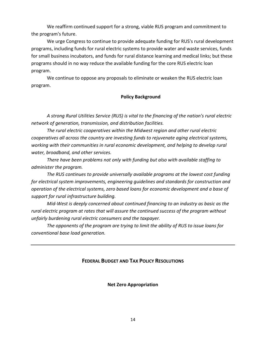We reaffirm continued support for a strong, viable RUS program and commitment to the program's future.

We urge Congress to continue to provide adequate funding for RUS's rural development programs, including funds for rural electric systems to provide water and waste services, funds for small business incubators, and funds for rural distance learning and medical links; but these programs should in no way reduce the available funding for the core RUS electric loan program.

We continue to oppose any proposals to eliminate or weaken the RUS electric loan program.

# **Policy Background**

*A strong Rural Utilities Service (RUS) is vital to the financing of the nation's rural electric network of generation, transmission, and distribution facilities.*

*The rural electric cooperatives within the Midwest region and other rural electric cooperatives all across the country are investing funds to rejuvenate aging electrical systems, working with their communities in rural economic development, and helping to develop rural water, broadband, and other services.*

*There have been problems not only with funding but also with available staffing to administer the program.*

*The RUS continues to provide universally available programs at the lowest cost funding for electrical system improvements, engineering guidelines and standards for construction and operation of the electrical systems, zero based loans for economic development and a base of support for rural infrastructure building.*

*Mid-West is deeply concerned about continued financing to an industry as basic as the rural electric program at rates that will assure the continued success of the program without unfairly burdening rural electric consumers and the taxpayer.*

<span id="page-13-0"></span>*The opponents of the program are trying to limit the ability of RUS to issue loans for conventional base load generation.*

# <span id="page-13-1"></span>**FEDERAL BUDGET AND TAX POLICY RESOLUTIONS**

**Net Zero Appropriation**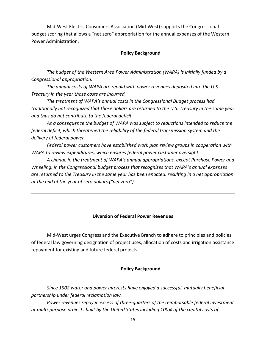Mid-West Electric Consumers Association (Mid-West) supports the Congressional budget scoring that allows a "net zero" appropriation for the annual expenses of the Western Power Administration.

# **Policy Background**

*The budget of the Western Area Power Administration (WAPA) is initially funded by a Congressional appropriation.*

*The annual costs of WAPA are repaid with power revenues deposited into the U.S. Treasury in the year those costs are incurred.*

*The treatment of WAPA's annual costs in the Congressional Budget process had traditionally not recognized that those dollars are returned to the U.S. Treasury in the same year and thus do not contribute to the federal deficit.*

*As a consequence the budget of WAPA was subject to reductions intended to reduce the federal deficit, which threatened the reliability of the federal transmission system and the delivery of federal power.*

*Federal power customers have established work plan review groups in cooperation with WAPA to review expenditures, which ensures federal power customer oversight.*

*A change in the treatment of WAPA's annual appropriations, except Purchase Power and Wheeling, in the Congressional budget process that recognizes that WAPA's annual expenses are returned to the Treasury in the same year has been enacted, resulting in a net appropriation at the end of the year of zero dollars ("net zero").*

# **Diversion of Federal Power Revenues**

<span id="page-14-0"></span>Mid-West urges Congress and the Executive Branch to adhere to principles and policies of federal law governing designation of project uses, allocation of costs and irrigation assistance repayment for existing and future federal projects.

# **Policy Background**

*Since 1902 water and power interests have enjoyed a successful, mutually beneficial partnership under federal reclamation law.*

*Power revenues repay in excess of three-quarters of the reimbursable federal investment at multi-purpose projects built by the United States including 100% of the capital costs of*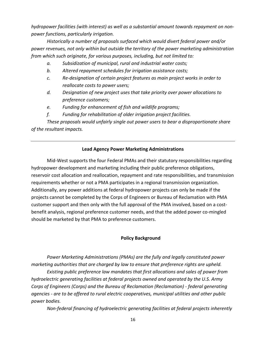*hydropower facilities (with interest) as well as a substantial amount towards repayment on nonpower functions, particularly irrigation.*

*Historically a number of proposals surfaced which would divert federal power and/or power revenues, not only within but outside the territory of the power marketing administration from which such originate, for various purposes, including, but not limited to:*

- *a. Subsidization of municipal, rural and industrial water costs;*
- *b. Altered repayment schedules for irrigation assistance costs;*
- *c. Re-designation of certain project features as main project works in order to reallocate costs to power users;*
- *d. Designation of new project uses that take priority over power allocations to preference customers;*
- *e. Funding for enhancement of fish and wildlife programs;*
- *f. Funding for rehabilitation of older irrigation project facilities.*

*These proposals would unfairly single out power users to bear a disproportionate share of the resultant impacts.*

# **Lead Agency Power Marketing Administrations**

<span id="page-15-0"></span>Mid-West supports the four Federal PMAs and their statutory responsibilities regarding hydropower development and marketing including their public preference obligations, reservoir cost allocation and reallocation, repayment and rate responsibilities, and transmission requirements whether or not a PMA participates in a regional transmission organization. Additionally, any power additions at federal hydropower projects can only be made if the projects cannot be completed by the Corps of Engineers or Bureau of Reclamation with PMA customer support and then only with the full approval of the PMA involved, based on a costbenefit analysis, regional preference customer needs, and that the added power co-mingled should be marketed by that PMA to preference customers.

# **Policy Background**

*Power Marketing Administrations (PMAs) are the fully and legally constituted power marketing authorities that are charged by law to ensure that preference rights are upheld.*

*Existing public preference law mandates that first allocations and sales of power from hydroelectric generating facilities at federal projects owned and operated by the U.S. Army Corps of Engineers (Corps) and the Bureau of Reclamation (Reclamation) - federal generating agencies - are to be offered to rural electric cooperatives, municipal utilities and other public power bodies.*

*Non-federal financing of hydroelectric generating facilities at federal projects inherently*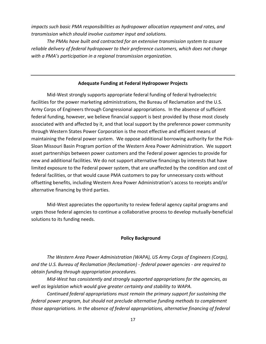*impacts such basic PMA responsibilities as hydropower allocation repayment and rates, and transmission which should involve customer input and solutions.*

*The PMAs have built and contracted for an extensive transmission system to assure reliable delivery of federal hydropower to their preference customers, which does not change with a PMA's participation in a regional transmission organization.*

# **Adequate Funding at Federal Hydropower Projects**

<span id="page-16-0"></span>Mid-West strongly supports appropriate federal funding of federal hydroelectric facilities for the power marketing administrations, the Bureau of Reclamation and the U.S. Army Corps of Engineers through Congressional appropriations. In the absence of sufficient federal funding, however, we believe financial support is best provided by those most closely associated with and affected by it, and that local support by the preference power community through Western States Power Corporation is the most effective and efficient means of maintaining the Federal power system. We oppose additional borrowing authority for the Pick-Sloan Missouri Basin Program portion of the Western Area Power Administration. We support asset partnerships between power customers and the Federal power agencies to provide for new and additional facilities. We do not support alternative financings by interests that have limited exposure to the Federal power system, that are unaffected by the condition and cost of federal facilities, or that would cause PMA customers to pay for unnecessary costs without offsetting benefits, including Western Area Power Administration's access to receipts and/or alternative financing by third parties.

Mid-West appreciates the opportunity to review federal agency capital programs and urges those federal agencies to continue a collaborative process to develop mutually-beneficial solutions to its funding needs.

# **Policy Background**

*The Western Area Power Administration (WAPA), US Army Corps of Engineers (Corps), and the U.S. Bureau of Reclamation (Reclamation) - federal power agencies - are required to obtain funding through appropriation procedures.*

*Mid-West has consistently and strongly supported appropriations for the agencies, as well as legislation which would give greater certainty and stability to WAPA.*

*Continued federal appropriations must remain the primary support for sustaining the federal power program, but should not preclude alternative funding methods to complement those appropriations. In the absence of federal appropriations, alternative financing of federal*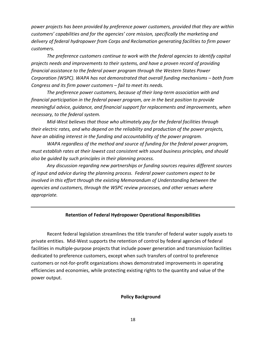*power projects has been provided by preference power customers, provided that they are within customers' capabilities and for the agencies' core mission, specifically the marketing and delivery of federal hydropower from Corps and Reclamation generating facilities to firm power customers.*

*The preference customers continue to work with the federal agencies to identify capital projects needs and improvements to their systems, and have a proven record of providing financial assistance to the federal power program through the Western States Power Corporation (WSPC). WAPA has not demonstrated that overall funding mechanisms – both from Congress and its firm power customers – fail to meet its needs.*

*The preference power customers, because of their long-term association with and financial participation in the federal power program, are in the best position to provide meaningful advice, guidance, and financial support for replacements and improvements, when necessary, to the federal system.*

*Mid-West believes that those who ultimately pay for the federal facilities through their electric rates, and who depend on the reliability and production of the power projects, have an abiding interest in the funding and accountability of the power program.*

*WAPA regardless of the method and source of funding for the federal power program, must establish rates at their lowest cost consistent with sound business principles, and should also be guided by such principles in their planning process.*

*Any discussion regarding new partnerships or funding sources requires different sources of input and advice during the planning process. Federal power customers expect to be involved in this effort through the existing Memorandum of Understanding between the agencies and customers, through the WSPC review processes, and other venues where appropriate.*

# **Retention of Federal Hydropower Operational Responsibilities**

<span id="page-17-0"></span>Recent federal legislation streamlines the title transfer of federal water supply assets to private entities. Mid-West supports the retention of control by federal agencies of federal facilities in multiple-purpose projects that include power generation and transmission facilities dedicated to preference customers, except when such transfers of control to preference customers or not-for-profit organizations shows demonstrated improvements in operating efficiencies and economies, while protecting existing rights to the quantity and value of the power output.

#### **Policy Background**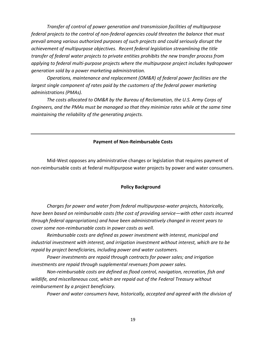*Transfer of control of power generation and transmission facilities of multipurpose federal projects to the control of non-federal agencies could threaten the balance that must prevail among various authorized purposes of such projects and could seriously disrupt the achievement of multipurpose objectives. Recent federal legislation streamlining the title transfer of federal water projects to private entities prohibits the new transfer process from applying to federal multi-purpose projects where the multipurpose project includes hydropower generation sold by a power marketing administration.*

*Operations, maintenance and replacement (OM&R) of federal power facilities are the largest single component of rates paid by the customers of the federal power marketing administrations (PMAs).*

*The costs allocated to OM&R by the Bureau of Reclamation, the U.S. Army Corps of Engineers, and the PMAs must be managed so that they minimize rates while at the same time maintaining the reliability of the generating projects.*

#### **Payment of Non-Reimbursable Costs**

<span id="page-18-0"></span>Mid-West opposes any administrative changes or legislation that requires payment of non-reimbursable costs at federal multipurpose water projects by power and water consumers.

# **Policy Background**

*Charges for power and water from federal multipurpose-water projects, historically, have been based on reimbursable costs (the cost of providing service—with other costs incurred through federal appropriations) and have been administratively changed in recent years to cover some non-reimbursable costs in power costs as well.*

*Reimbursable costs are defined as power investment with interest, municipal and industrial investment with interest, and irrigation investment without interest, which are to be repaid by project beneficiaries, including power and water customers.*

*Power investments are repaid through contracts for power sales; and irrigation investments are repaid through supplemental revenues from power sales.*

*Non-reimbursable costs are defined as flood control, navigation, recreation, fish and wildlife, and miscellaneous cost, which are repaid out of the Federal Treasury without reimbursement by a project beneficiary.*

*Power and water consumers have, historically, accepted and agreed with the division of*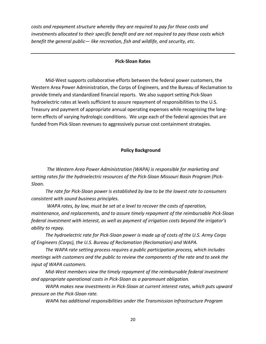*costs and repayment structure whereby they are required to pay for those costs and investments allocated to their specific benefit and are not required to pay those costs which benefit the general public— like recreation, fish and wildlife, and security, etc.*

#### **Pick-Sloan Rates**

<span id="page-19-0"></span> Mid-West supports collaborative efforts between the federal power customers, the Western Area Power Administration, the Corps of Engineers, and the Bureau of Reclamation to provide timely and standardized financial reports. We also support setting Pick-Sloan hydroelectric rates at levels sufficient to assure repayment of responsibilities to the U.S. Treasury and payment of appropriate annual operating expenses while recognizing the longterm effects of varying hydrologic conditions. We urge each of the federal agencies that are funded from Pick-Sloan revenues to aggressively pursue cost containment strategies.

# **Policy Background**

*The Western Area Power Administration (WAPA) is responsible for marketing and setting rates for the hydroelectric resources of the Pick-Sloan Missouri Basin Program (Pick-Sloan.*

 *The rate for Pick-Sloan power is established by law to be the lowest rate to consumers consistent with sound business principles.*

*WAPA rates, by law, must be set at a level to recover the costs of operation, maintenance, and replacements, and to assure timely repayment of the reimbursable Pick-Sloan federal investment with interest, as well as payment of irrigation costs beyond the irrigator's ability to repay.*

 *The hydroelectric rate for Pick-Sloan power is made up of costs of the U.S. Army Corps of Engineers (Corps), the U.S. Bureau of Reclamation (Reclamation) and WAPA.*

 *The WAPA rate setting process requires a public participation process, which includes meetings with customers and the public to review the components of the rate and to seek the input of WAPA customers.*

 *Mid-West members view the timely repayment of the reimbursable federal investment and appropriate operational costs in Pick-Sloan as a paramount obligation.*

 *WAPA makes new investments in Pick-Sloan at current interest rates, which puts upward pressure on the Pick-Sloan rate.*

 *WAPA has additional responsibilities under the Transmission Infrastructure Program*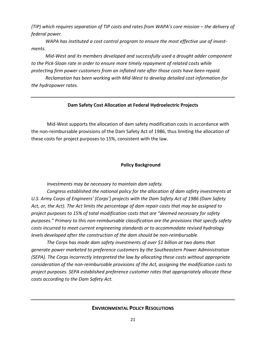*(TIP) which requires separation of TIP costs and rates from WAPA's core mission – the delivery of federal power.*

 *WAPA has instituted a cost control program to ensure the most effective use of investments.*

 *Mid-West and its members developed and successfully used a drought adder component to the Pick-Sloan rate in order to ensure more timely repayment of related costs while protecting firm power customers from an inflated rate after those costs have been repaid.*

 *Reclamation has been working with Mid-West to develop detailed cost information for the hydropower rates.*

# **Dam Safety Cost Allocation at Federal Hydroelectric Projects**

<span id="page-20-0"></span>Mid-West supports the allocation of dam safety modification costs in accordance with the non-reimbursable provisions of the Dam Safety Act of 1986, thus limiting the allocation of these costs for project purposes to 15%, consistent with the law.

# **Policy Background**

*Investments may be necessary to maintain dam safety.*

*Congress established the national policy for the allocation of dam safety investments at U.S. Army Corps of Engineers' (Corps') projects with the Dam Safety Act of 1986 (Dam Safety Act, or, the Act). The Act limits the percentage of dam repair costs that may be assigned to project purposes to 15% of total modification costs that are "deemed necessary for safety purposes." Primary to this non-reimbursable classification are the provisions that specify safety costs incurred to meet current engineering standards or to accommodate revised hydrology levels developed after the construction of the dam should be non-reimbursable.*

<span id="page-20-1"></span>*The Corps has made dam safety investments of over \$1 billion at two dams that generate power marketed to preference customers by the Southeastern Power Administration (SEPA). The Corps incorrectly interpreted the law by allocating these costs without appropriate consideration of the non-reimbursable provisions of the Act, assigning the modification costs to project purposes. SEPA established preference customer rates that appropriately allocate these costs according to the Dam Safety Act.*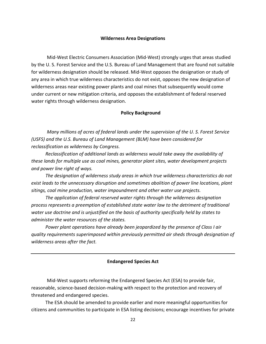#### **Wilderness Area Designations**

<span id="page-21-0"></span>Mid-West Electric Consumers Association (Mid-West) strongly urges that areas studied by the U. S. Forest Service and the U.S. Bureau of Land Management that are found not suitable for wilderness designation should be released. Mid-West opposes the designation or study of any area in which true wilderness characteristics do not exist, opposes the new designation of wilderness areas near existing power plants and coal mines that subsequently would come under current or new mitigation criteria, and opposes the establishment of federal reserved water rights through wilderness designation.

# **Policy Background**

*Many millions of acres of federal lands under the supervision of the U. S. Forest Service (USFS) and the U.S. Bureau of Land Management (BLM) have been considered for reclassification as wilderness by Congress.*

 *Reclassification of additional lands as wilderness would take away the availability of these lands for multiple use as coal mines, generator plant sites, water development projects and power line right of ways.*

 *The designation of wilderness study areas in which true wilderness characteristics do not exist leads to the unnecessary disruption and sometimes abolition of power line locations, plant sitings, coal mine production, water impoundment and other water use projects.*

 *The application of federal reserved water rights through the wilderness designation process represents a preemption of established state water law to the detriment of traditional water use doctrine and is unjustified on the basis of authority specifically held by states to administer the water resources of the states.*

 *Power plant operations have already been jeopardized by the presence of Class I air quality requirements superimposed within previously permitted air sheds through designation of wilderness areas after the fact.*

# **Endangered Species Act**

<span id="page-21-1"></span>Mid-West supports reforming the Endangered Species Act (ESA) to provide fair, reasonable, science-based decision-making with respect to the protection and recovery of threatened and endangered species.

 The ESA should be amended to provide earlier and more meaningful opportunities for citizens and communities to participate in ESA listing decisions; encourage incentives for private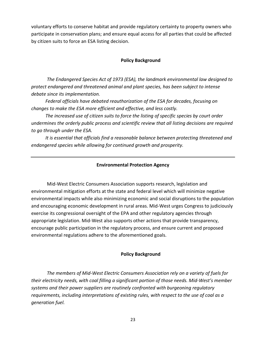voluntary efforts to conserve habitat and provide regulatory certainty to property owners who participate in conservation plans; and ensure equal access for all parties that could be affected by citizen suits to force an ESA listing decision.

# **Policy Background**

*The Endangered Species Act of 1973 (ESA), the landmark environmental law designed to protect endangered and threatened animal and plant species, has been subject to intense debate since its implementation.*

 *Federal officials have debated reauthorization of the ESA for decades, focusing on changes to make the ESA more efficient and effective, and less costly.*

 *The increased use of citizen suits to force the listing of specific species by court order undermines the orderly public process and scientific review that all listing decisions are required to go through under the ESA.*

 *It is essential that officials find a reasonable balance between protecting threatened and endangered species while allowing for continued growth and prosperity.*

# **Environmental Protection Agency**

<span id="page-22-0"></span>Mid-West Electric Consumers Association supports research, legislation and environmental mitigation efforts at the state and federal level which will minimize negative environmental impacts while also minimizing economic and social disruptions to the population and encouraging economic development in rural areas. Mid-West urges Congress to judiciously exercise its congressional oversight of the EPA and other regulatory agencies through appropriate legislation. Mid-West also supports other actions that provide transparency, encourage public participation in the regulatory process, and ensure current and proposed environmental regulations adhere to the aforementioned goals.

# **Policy Background**

*The members of Mid-West Electric Consumers Association rely on a variety of fuels for their electricity needs, with coal filling a significant portion of those needs. Mid-West's member systems and their power suppliers are routinely confronted with burgeoning regulatory requirements, including interpretations of existing rules, with respect to the use of coal as a generation fuel.*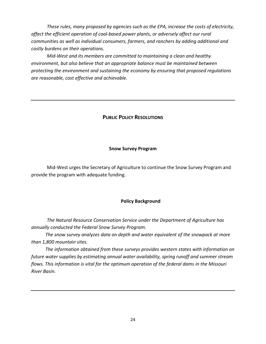*These rules, many proposed by agencies such as the EPA, increase the costs of electricity, affect the efficient operation of coal-based power plants, or adversely affect our rural communities as well as individual consumers, farmers, and ranchers by adding additional and costly burdens on their operations.* 

*Mid-West and its members are committed to maintaining a clean and healthy environment, but also believe that an appropriate balance must be maintained between protecting the environment and sustaining the economy by ensuring that proposed regulations are reasonable, cost effective and achievable.*

# **PUBLIC POLICY RESOLUTIONS**

# **Snow Survey Program**

<span id="page-23-1"></span><span id="page-23-0"></span>Mid-West urges the Secretary of Agriculture to continue the Snow Survey Program and provide the program with adequate funding.

# **Policy Background**

*The Natural Resource Conservation Service under the Department of Agriculture has annually conducted the Federal Snow Survey Program.*

 *The snow survey analyzes data on depth and water equivalent of the snowpack at more than 1,800 mountain sites.*

 *The information obtained from these surveys provides western states with information on future water supplies by estimating annual water availability, spring runoff and summer stream flows. This information is vital for the optimum operation of the federal dams in the Missouri River Basin.*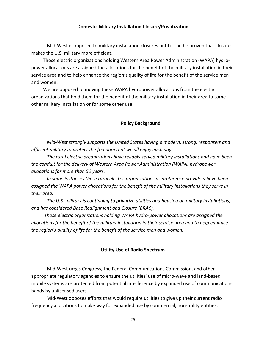# **Domestic Military Installation Closure/Privatization**

<span id="page-24-0"></span>Mid-West is opposed to military installation closures until it can be proven that closure makes the U.S. military more efficient.

 Those electric organizations holding Western Area Power Administration (WAPA) hydropower allocations are assigned the allocations for the benefit of the military installation in their service area and to help enhance the region's quality of life for the benefit of the service men and women.

 We are opposed to moving these WAPA hydropower allocations from the electric organizations that hold them for the benefit of the military installation in their area to some other military installation or for some other use.

# **Policy Background**

*Mid-West strongly supports the United States having a modern, strong, responsive and efficient military to protect the freedom that we all enjoy each day.*

*The rural electric organizations have reliably served military installations and have been the conduit for the delivery of Western Area Power Administration (WAPA) hydropower allocations for more than 50 years.*

*In some instances these rural electric organizations as preference providers have been assigned the WAPA power allocations for the benefit of the military installations they serve in their area.*

*The U.S. military is continuing to privatize utilities and housing on military installations, and has considered Base Realignment and Closure (BRAC).*

 *Those electric organizations holding WAPA hydro-power allocations are assigned the allocations for the benefit of the military installation in their service area and to help enhance the region's quality of life for the benefit of the service men and women.*

# **Utility Use of Radio Spectrum**

<span id="page-24-1"></span>Mid-West urges Congress, the Federal Communications Commission, and other appropriate regulatory agencies to ensure the utilities' use of micro-wave and land-based mobile systems are protected from potential interference by expanded use of communications bands by unlicensed users.

 Mid-West opposes efforts that would require utilities to give up their current radio frequency allocations to make way for expanded use by commercial, non-utility entities.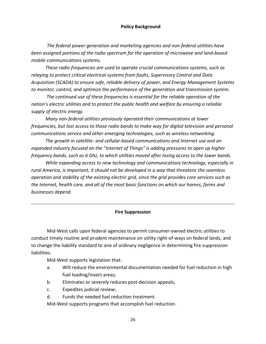# **Policy Background**

*The federal power generation and marketing agencies and non-federal utilities have been assigned portions of the radio spectrum for the operation of microwave and land-based mobile communications systems.*

 *These radio frequencies are used to operate crucial communications systems, such as relaying to protect critical electrical systems from faults, Supervisory Control and Data Acquisition (SCADA) to ensure safe, reliable delivery of power, and Energy Management Systems to monitor, control, and optimize the performance of the generation and transmission system.*

 *The continued use of these frequencies is essential for the reliable operation of the nation's electric utilities and to protect the public health and welfare by ensuring a reliable supply of electric energy.*

 *Many non-federal utilities previously operated their communications at lower frequencies, but lost access to those radio bands to make way for digital television and personal communications service and other emerging technologies, such as wireless networking.*

 *The growth in satellite- and cellular-based communications and Internet use and an expanded industry focused on the "Internet of Things" is adding pressures to open up higher frequency bands, such as 6 Ghz, to which utilities moved after losing access to the lower bands.*

 *While expanding access to new technology and communications technology, especially in rural America, is important, it should not be developed in a way that threatens the seamless operation and stability of the existing electric grid, since the grid provides core services such as the Internet, health care, and all of the most basic functions on which our homes, farms and businesses depend.*

# **Fire Suppression**

<span id="page-25-0"></span>Mid-West calls upon federal agencies to permit consumer-owned electric utilities to conduct timely routine and prudent maintenance on utility right-of-ways on federal lands, and to change the liability standard to one of ordinary negligence in determining fire suppression liabilities.

Mid-West supports legislation that:

- a. Will reduce the environmental documentation needed for fuel reduction in high fuel loading/insect areas;
- b. Eliminates or severely reduces post-decision appeals;
- c. Expedites judicial review;
- d. Funds the needed fuel reduction treatment.

Mid-West supports programs that accomplish fuel reduction.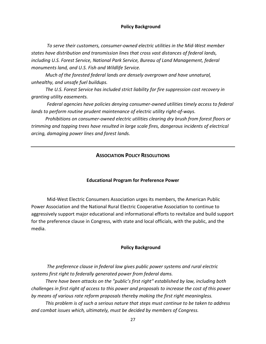# **Policy Background**

*To serve their customers, consumer-owned electric utilities in the Mid-West member states have distribution and transmission lines that cross vast distances of federal lands, including U.S. Forest Service, National Park Service, Bureau of Land Management, federal monuments land, and U.S. Fish and Wildlife Service.*

 *Much of the forested federal lands are densely overgrown and have unnatural, unhealthy, and unsafe fuel buildups.*

 *The U.S. Forest Service has included strict liability for fire suppression cost recovery in granting utility easements.*

*Federal agencies have policies denying consumer-owned utilities timely access to federal lands to perform routine prudent maintenance of electric utility right-of-ways.*

<span id="page-26-0"></span> *Prohibitions on consumer-owned electric utilities clearing dry brush from forest floors or trimming and topping trees have resulted in large scale fires, dangerous incidents of electrical arcing, damaging power lines and forest lands.*

# **ASSOCIATION POLICY RESOLUTIONS**

# **Educational Program for Preference Power**

<span id="page-26-1"></span>Mid-West Electric Consumers Association urges its members, the American Public Power Association and the National Rural Electric Cooperative Association to continue to aggressively support major educational and informational efforts to revitalize and build support for the preference clause in Congress, with state and local officials, with the public, and the media.

# **Policy Background**

*The preference clause in federal law gives public power systems and rural electric systems first right to federally generated power from federal dams.*

 *There have been attacks on the "public's first right" established by law, including both challenges in first right of access to this power and proposals to increase the cost of this power by means of various rate reform proposals thereby making the first right meaningless.*

 *This problem is of such a serious nature that steps must continue to be taken to address and combat issues which, ultimately, must be decided by members of Congress.*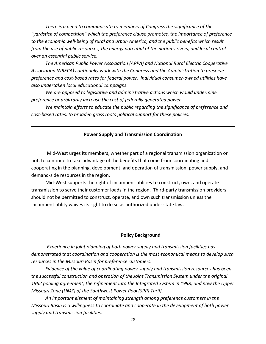*There is a need to communicate to members of Congress the significance of the "yardstick of competition" which the preference clause promotes, the importance of preference to the economic well-being of rural and urban America, and the public benefits which result from the use of public resources, the energy potential of the nation's rivers, and local control over an essential public service.*

 *The American Public Power Association (APPA) and National Rural Electric Cooperative Association (NRECA) continually work with the Congress and the Administration to preserve preference and cost-based rates for federal power. Individual consumer-owned utilities have also undertaken local educational campaigns.*

 *We are opposed to legislative and administrative actions which would undermine preference or arbitrarily increase the cost of federally generated power.*

 *We maintain efforts to educate the public regarding the significance of preference and cost-based rates, to broaden grass roots political support for these policies.*

#### **Power Supply and Transmission Coordination**

<span id="page-27-0"></span>Mid-West urges its members, whether part of a regional transmission organization or not, to continue to take advantage of the benefits that come from coordinating and cooperating in the planning, development, and operation of transmission, power supply, and demand-side resources in the region.

 Mid-West supports the right of incumbent utilities to construct, own, and operate transmission to serve their customer loads in the region. Third-party transmission providers should not be permitted to construct, operate, and own such transmission unless the incumbent utility waives its right to do so as authorized under state law.

#### **Policy Background**

*Experience in joint planning of both power supply and transmission facilities has demonstrated that coordination and cooperation is the most economical means to develop such resources in the Missouri Basin for preference customers.*

 *Evidence of the value of coordinating power supply and transmission resources has been the successful construction and operation of the Joint Transmission System under the original 1962 pooling agreement, the refinement into the Integrated System in 1998, and now the Upper Missouri Zone (UMZ) of the Southwest Power Pool (SPP) Tariff.*

 *An important element of maintaining strength among preference customers in the Missouri Basin is a willingness to coordinate and cooperate in the development of both power supply and transmission facilities.*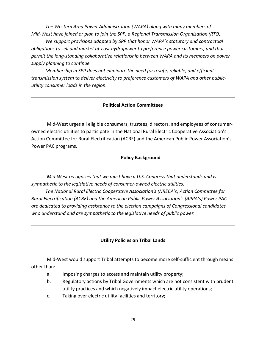*The Western Area Power Administration (WAPA) along with many members of Mid-West have joined or plan to join the SPP, a Regional Transmission Organization (RTO).*

 *We support provisions adopted by SPP that honor WAPA's statutory and contractual obligations to sell and market at-cost hydropower to preference power customers, and that permit the long-standing collaborative relationship between WAPA and its members on power supply planning to continue.*

 *Membership in SPP does not eliminate the need for a safe, reliable, and efficient transmission system to deliver electricity to preference customers of WAPA and other publicutility consumer loads in the region.*

# **Political Action Committees**

<span id="page-28-0"></span>Mid-West urges all eligible consumers, trustees, directors, and employees of consumerowned electric utilities to participate in the National Rural Electric Cooperative Association's Action Committee for Rural Electrification (ACRE) and the American Public Power Association's Power PAC programs.

# **Policy Background**

*Mid-West recognizes that we must have a U.S. Congress that understands and is sympathetic to the legislative needs of consumer-owned electric utilities.*

 *The National Rural Electric Cooperative Association's (NRECA's) Action Committee for Rural Electrification (ACRE) and the American Public Power Association's (APPA's) Power PAC are dedicated to providing assistance to the election campaigns of Congressional candidates who understand and are sympathetic to the legislative needs of public power.*

# **Utility Policies on Tribal Lands**

<span id="page-28-1"></span>Mid-West would support Tribal attempts to become more self-sufficient through means other than:

- a. Imposing charges to access and maintain utility property;
- b. Regulatory actions by Tribal Governments which are not consistent with prudent utility practices and which negatively impact electric utility operations;
- c. Taking over electric utility facilities and territory;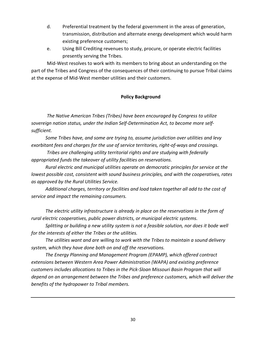- d. Preferential treatment by the federal government in the areas of generation, transmission, distribution and alternate energy development which would harm existing preference customers;
- e. Using Bill Crediting revenues to study, procure, or operate electric facilities presently serving the Tribes.

Mid-West resolves to work with its members to bring about an understanding on the part of the Tribes and Congress of the consequences of their continuing to pursue Tribal claims at the expense of Mid-West member utilities and their customers.

# **Policy Background**

*The Native American Tribes (Tribes) have been encouraged by Congress to utilize sovereign nation status, under the Indian Self-Determination Act, to become more selfsufficient.*

 *Some Tribes have, and some are trying to, assume jurisdiction over utilities and levy exorbitant fees and charges for the use of service territories, right-of-ways and crossings.*

*Tribes are challenging utility territorial rights and are studying with federally appropriated funds the takeover of utility facilities on reservations.*

 *Rural electric and municipal utilities operate on democratic principles for service at the lowest possible cost, consistent with sound business principles, and with the cooperatives, rates as approved by the Rural Utilities Service.*

 *Additional charges, territory or facilities and load taken together all add to the cost of service and impact the remaining consumers.*

 *The electric utility infrastructure is already in place on the reservations in the form of rural electric cooperatives, public power districts, or municipal electric systems.*

 *Splitting or building a new utility system is not a feasible solution, nor does it bode well for the interests of either the Tribes or the utilities.*

 *The utilities want and are willing to work with the Tribes to maintain a sound delivery system, which they have done both on and off the reservations.*

 *The Energy Planning and Management Program (EPAMP), which offered contract extensions between Western Area Power Administration (WAPA) and existing preference customers includes allocations to Tribes in the Pick-Sloan Missouri Basin Program that will depend on an arrangement between the Tribes and preference customers, which will deliver the benefits of the hydropower to Tribal members.*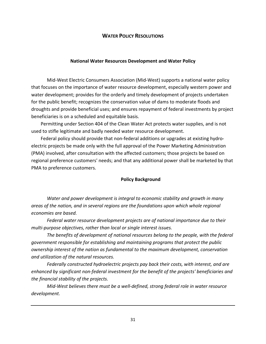# **WATER POLICY RESOLUTIONS**

# **National Water Resources Development and Water Policy**

<span id="page-30-1"></span><span id="page-30-0"></span>Mid-West Electric Consumers Association (Mid-West) supports a national water policy that focuses on the importance of water resource development, especially western power and water development; provides for the orderly and timely development of projects undertaken for the public benefit; recognizes the conservation value of dams to moderate floods and droughts and provide beneficial uses; and ensures repayment of federal investments by project beneficiaries is on a scheduled and equitable basis.

 Permitting under Section 404 of the Clean Water Act protects water supplies, and is not used to stifle legitimate and badly needed water resource development.

 Federal policy should provide that non-federal additions or upgrades at existing hydroelectric projects be made only with the full approval of the Power Marketing Administration (PMA) involved, after consultation with the affected customers; those projects be based on regional preference customers' needs; and that any additional power shall be marketed by that PMA to preference customers.

# **Policy Background**

*Water and power development is integral to economic stability and growth in many areas of the nation, and in several regions are the foundations upon which whole regional economies are based.*

*Federal water resource development projects are of national importance due to their multi-purpose objectives, rather than local or single interest issues.*

*The benefits of development of national resources belong to the people, with the federal government responsible for establishing and maintaining programs that protect the public ownership interest of the nation as fundamental to the maximum development, conservation and utilization of the natural resources.*

*Federally constructed hydroelectric projects pay back their costs, with interest, and are enhanced by significant non-federal investment for the benefit of the projects' beneficiaries and the financial stability of the projects.*

*Mid-West believes there must be a well-defined, strong federal role in water resource development.*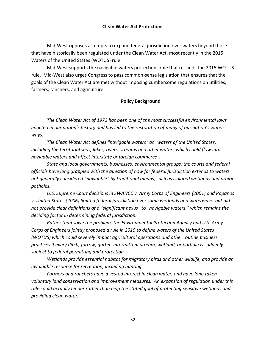# **Clean Water Act Protections**

<span id="page-31-0"></span>Mid-West opposes attempts to expand federal jurisdiction over waters beyond those that have historically been regulated under the Clean Water Act, most recently in the 2015 Waters of the United States (WOTUS) rule.

Mid-West supports the navigable waters protections rule that rescinds the 2015 WOTUS rule. Mid-West also urges Congress to pass common-sense legislation that ensures that the goals of the Clean Water Act are met without imposing cumbersome regulations on utilities, farmers, ranchers, and agriculture.

# **Policy Background**

*The Clean Water Act of 1972 has been one of the most successful environmental laws enacted in our nation's history and has led to the restoration of many of our nation's waterways.*

*The Clean Water Act defines "navigable waters" as "waters of the United States, including the territorial seas, lakes, rivers, streams and other waters which could flow into navigable waters and affect interstate or foreign commerce".*

*State and local governments, businesses, environmental groups, the courts and federal officials have long grappled with the question of how far federal jurisdiction extends to waters not generally considered "navigable" by traditional means, such as isolated wetlands and prairie potholes.*

*U.S. Supreme Court decisions in SWANCC v. Army Corps of Engineers (2001) and Rapanos v. United States (2006) limited federal jurisdiction over some wetlands and waterways, but did not provide clear definitions of a "significant nexus" to "navigable waters," which remains the deciding factor in determining federal jurisdiction.*

*Rather than solve the problem, the Environmental Protection Agency and U.S. Army Corps of Engineers jointly proposed a rule in 2015 to define waters of the United States (WOTUS) which could severely impact agricultural operations and other routine business practices if every ditch, furrow, gutter, intermittent stream, wetland, or pothole is suddenly subject to federal permitting and protection.*

*Wetlands provide essential habitat for migratory birds and other wildlife, and provide an invaluable resource for recreation, including hunting.*

*Farmers and ranchers have a vested interest in clean water, and have long taken voluntary land conservation and improvement measures. An expansion of regulation under this rule could actually hinder rather than help the stated goal of protecting sensitive wetlands and providing clean water.*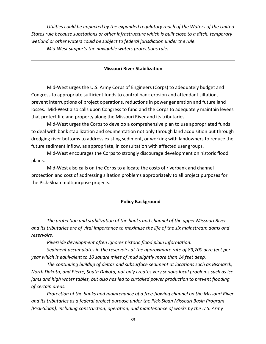*Utilities could be impacted by the expanded regulatory reach of the Waters of the United States rule because substations or other infrastructure which is built close to a ditch, temporary wetland or other waters could be subject to federal jurisdiction under the rule. Mid-West supports the navigable waters protections rule.*

#### **Missouri River Stabilization**

<span id="page-32-0"></span>Mid-West urges the U.S. Army Corps of Engineers (Corps) to adequately budget and Congress to appropriate sufficient funds to control bank erosion and attendant siltation, prevent interruptions of project operations, reductions in power generation and future land losses. Mid-West also calls upon Congress to fund and the Corps to adequately maintain levees that protect life and property along the Missouri River and its tributaries.

Mid-West urges the Corps to develop a comprehensive plan to use appropriated funds to deal with bank stabilization and sedimentation not only through land acquisition but through dredging river bottoms to address existing sediment, or working with landowners to reduce the future sediment inflow, as appropriate, in consultation with affected user groups.

Mid-West encourages the Corps to strongly discourage development on historic flood plains.

Mid-West also calls on the Corps to allocate the costs of riverbank and channel protection and cost of addressing siltation problems appropriately to all project purposes for the Pick-Sloan multipurpose projects.

#### **Policy Background**

*The protection and stabilization of the banks and channel of the upper Missouri River and its tributaries are of vital importance to maximize the life of the six mainstream dams and reservoirs.*

*Riverside development often ignores historic flood plain information.*

*Sediment accumulates in the reservoirs at the approximate rate of 89,700 acre feet per year which is equivalent to 10 square miles of mud slightly more than 14 feet deep.*

*The continuing buildup of deltas and subsurface sediment at locations such as Bismarck, North Dakota, and Pierre, South Dakota, not only creates very serious local problems such as ice jams and high water tables, but also has led to curtailed power production to prevent flooding of certain areas.*

*Protection of the banks and maintenance of a free-flowing channel on the Missouri River and its tributaries as a federal project purpose under the Pick-Sloan Missouri Basin Program (Pick-Sloan), including construction, operation, and maintenance of works by the U.S. Army*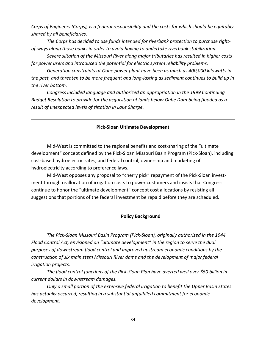*Corps of Engineers (Corps), is a federal responsibility and the costs for which should be equitably shared by all beneficiaries.*

*The Corps has decided to use funds intended for riverbank protection to purchase rightof-ways along those banks in order to avoid having to undertake riverbank stabilization.*

*Severe siltation of the Missouri River along major tributaries has resulted in higher costs for power users and introduced the potential for electric system reliability problems.*

*Generation constraints at Oahe power plant have been as much as 400,000 kilowatts in the past, and threaten to be more frequent and long-lasting as sediment continues to build up in the river bottom.*

*Congress included language and authorized an appropriation in the 1999 Continuing Budget Resolution to provide for the acquisition of lands below Oahe Dam being flooded as a result of unexpected levels of siltation in Lake Sharpe.*

# **Pick-Sloan Ultimate Development**

<span id="page-33-0"></span>Mid-West is committed to the regional benefits and cost-sharing of the "ultimate development" concept defined by the Pick-Sloan Missouri Basin Program (Pick-Sloan), including cost-based hydroelectric rates, and federal control, ownership and marketing of hydroelectricity according to preference laws.

Mid-West opposes any proposal to "cherry pick" repayment of the Pick-Sloan investment through reallocation of irrigation costs to power customers and insists that Congress continue to honor the "ultimate development" concept cost allocations by resisting all suggestions that portions of the federal investment be repaid before they are scheduled.

# **Policy Background**

*The Pick-Sloan Missouri Basin Program (Pick-Sloan), originally authorized in the 1944 Flood Control Act, envisioned an "ultimate development" in the region to serve the dual purposes of downstream flood control and improved upstream economic conditions by the construction of six main stem Missouri River dams and the development of major federal irrigation projects.*

*The flood control functions of the Pick-Sloan Plan have averted well over \$50 billion in current dollars in downstream damages.*

*Only a small portion of the extensive federal irrigation to benefit the Upper Basin States has actually occurred, resulting in a substantial unfulfilled commitment for economic development.*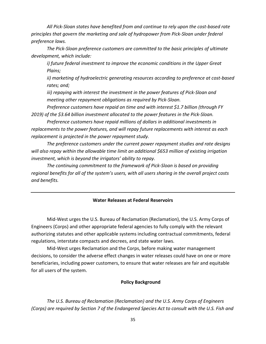*All Pick-Sloan states have benefited from and continue to rely upon the cost-based rate principles that govern the marketing and sale of hydropower from Pick-Sloan under federal preference laws.*

*The Pick-Sloan preference customers are committed to the basic principles of ultimate development, which include:*

*i) future federal investment to improve the economic conditions in the Upper Great Plains;*

*ii) marketing of hydroelectric generating resources according to preference at cost-based rates; and;*

*iii) repaying with interest the investment in the power features of Pick-Sloan and meeting other repayment obligations as required by Pick-Sloan.*

*Preference customers have repaid on time and with interest \$1.7 billion (through FY 2019) of the \$3.64 billion investment allocated to the power features in the Pick-Sloan.*

*Preference customers have repaid millions of dollars in additional investments in replacements to the power features, and will repay future replacements with interest as each replacement is projected in the power repayment study.*

*The preference customers under the current power repayment studies and rate designs will also repay within the allowable time limit an additional \$653 million of existing irrigation investment, which is beyond the irrigators' ability to repay.*

*The continuing commitment to the framework of Pick-Sloan is based on providing regional benefits for all of the system's users, with all users sharing in the overall project costs and benefits.*

# **Water Releases at Federal Reservoirs**

<span id="page-34-0"></span>Mid-West urges the U.S. Bureau of Reclamation (Reclamation), the U.S. Army Corps of Engineers (Corps) and other appropriate federal agencies to fully comply with the relevant authorizing statutes and other applicable systems including contractual commitments, federal regulations, interstate compacts and decrees, and state water laws.

Mid-West urges Reclamation and the Corps, before making water management decisions, to consider the adverse effect changes in water releases could have on one or more beneficiaries, including power customers, to ensure that water releases are fair and equitable for all users of the system.

# **Policy Background**

*The U.S. Bureau of Reclamation (Reclamation) and the U.S. Army Corps of Engineers (Corps) are required by Section 7 of the Endangered Species Act to consult with the U.S. Fish and*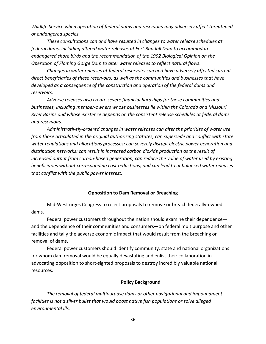*Wildlife Service when operation of federal dams and reservoirs may adversely affect threatened or endangered species.*

*These consultations can and have resulted in changes to water release schedules at federal dams, including altered water releases at Fort Randall Dam to accommodate endangered shore birds and the recommendation of the 1992 Biological Opinion on the Operation of Flaming Gorge Dam to alter water releases to reflect natural flows.*

*Changes in water releases at federal reservoirs can and have adversely affected current direct beneficiaries of these reservoirs, as well as the communities and businesses that have developed as a consequence of the construction and operation of the federal dams and reservoirs.*

*Adverse releases also create severe financial hardships for these communities and businesses, including member-owners whose businesses lie within the Colorado and Missouri River Basins and whose existence depends on the consistent release schedules at federal dams and reservoirs.*

*Administratively-ordered changes in water releases can alter the priorities of water use from those articulated in the original authorizing statutes; can supersede and conflict with state water regulations and allocations processes; can severely disrupt electric power generation and distribution networks; can result in increased carbon dioxide production as the result of increased output from carbon-based generation, can reduce the value of water used by existing beneficiaries without corresponding cost reductions; and can lead to unbalanced water releases that conflict with the public power interest.*

# **Opposition to Dam Removal or Breaching**

<span id="page-35-0"></span>Mid-West urges Congress to reject proposals to remove or breach federally-owned dams.

Federal power customers throughout the nation should examine their dependence and the dependence of their communities and consumers—on federal multipurpose and other facilities and tally the adverse economic impact that would result from the breaching or removal of dams.

Federal power customers should identify community, state and national organizations for whom dam removal would be equally devastating and enlist their collaboration in advocating opposition to short-sighted proposals to destroy incredibly valuable national resources.

# **Policy Background**

*The removal of federal multipurpose dams or other navigational and impoundment facilities is not a silver bullet that would boost native fish populations or solve alleged environmental ills.*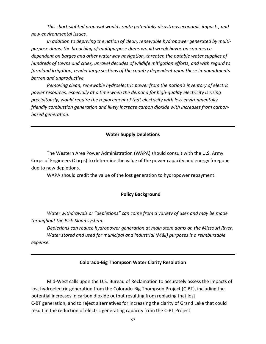*This short-sighted proposal would create potentially disastrous economic impacts, and new environmental issues.*

*In addition to depriving the nation of clean, renewable hydropower generated by multipurpose dams, the breaching of multipurpose dams would wreak havoc on commerce dependent on barges and other waterway navigation, threaten the potable water supplies of hundreds of towns and cities, unravel decades of wildlife mitigation efforts, and with regard to farmland irrigation, render large sections of the country dependent upon these impoundments barren and unproductive.*

*Removing clean, renewable hydroelectric power from the nation's inventory of electric power resources, especially at a time when the demand for high-quality electricity is rising precipitously, would require the replacement of that electricity with less environmentally friendly combustion generation and likely increase carbon dioxide with increases from carbonbased generation.*

# **Water Supply Depletions**

<span id="page-36-0"></span>The Western Area Power Administration (WAPA) should consult with the U.S. Army Corps of Engineers (Corps) to determine the value of the power capacity and energy foregone due to new depletions.

WAPA should credit the value of the lost generation to hydropower repayment.

# **Policy Background**

*Water withdrawals or "depletions" can come from a variety of uses and may be made throughout the Pick-Sloan system.*

*Depletions can reduce hydropower generation at main stem dams on the Missouri River. Water stored and used for municipal and industrial (M&I) purposes is a reimbursable expense.*

# **Colorado-Big Thompson Water Clarity Resolution**

<span id="page-36-1"></span>Mid-West calls upon the U.S. Bureau of Reclamation to accurately assess the impacts of lost hydroelectric generation from the Colorado-Big Thompson Project (C-BT), including the potential increases in carbon dioxide output resulting from replacing that lost C-BT generation, and to reject alternatives for increasing the clarity of Grand Lake that could result in the reduction of electric generating capacity from the C-BT Project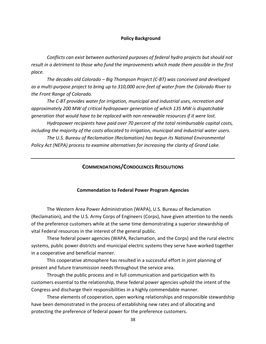#### **Policy Background**

*Conflicts can exist between authorized purposes of federal hydro projects but should not result in a detriment to those who fund the improvements which made them possible in the first place.*

*The decades old Colorado – Big Thompson Project (C-BT) was conceived and developed as a multi-purpose project to bring up to 310,000 acre-feet of water from the Colorado River to the Front Range of Colorado.*

*The C-BT provides water for irrigation, municipal and industrial uses, recreation and approximately 200 MW of critical hydropower generation of which 135 MW is dispatchable generation that would have to be replaced with non-renewable resources if it were lost.*

*Hydropower recipients have paid over 70 percent of the total reimbursable capital costs, including the majority of the costs allocated to irrigation, municipal and industrial water users.*

<span id="page-37-0"></span>*The U.S. Bureau of Reclamation (Reclamation) has begun its National Environmental Policy Act (NEPA) process to examine alternatives for increasing the clarity of Grand Lake.*

# **COMMENDATIONS/CONDOLENCES RESOLUTIONS**

#### **Commendation to Federal Power Program Agencies**

<span id="page-37-1"></span>The Western Area Power Administration (WAPA), U.S. Bureau of Reclamation (Reclamation), and the U.S. Army Corps of Engineers (Corps), have given attention to the needs of the preference customers while at the same time demonstrating a superior stewardship of vital Federal resources in the interest of the general public.

These federal power agencies (WAPA, Reclamation, and the Corps) and the rural electric systems, public power districts and municipal electric systems they serve have worked together in a cooperative and beneficial manner.

This cooperative atmosphere has resulted in a successful effort in joint planning of present and future transmission needs throughout the service area.

Through the public process and in full communication and participation with its customers essential to the relationship, these federal power agencies uphold the intent of the Congress and discharge their responsibilities in a highly commendable manner.

These elements of cooperation, open working relationships and responsible stewardship have been demonstrated in the process of establishing new rates and of allocating and protecting the preference of federal power for the preference customers.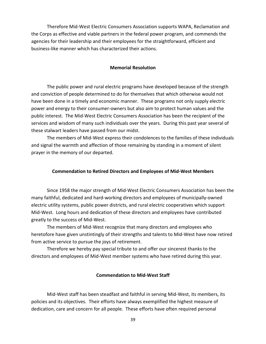Therefore Mid-West Electric Consumers Association supports WAPA, Reclamation and the Corps as effective and viable partners in the federal power program, and commends the agencies for their leadership and their employees for the straightforward, efficient and business-like manner which has characterized their actions.

#### **Memorial Resolution**

<span id="page-38-0"></span>The public power and rural electric programs have developed because of the strength and conviction of people determined to do for themselves that which otherwise would not have been done in a timely and economic manner. These programs not only supply electric power and energy to their consumer-owners but also aim to protect human values and the public interest. The Mid-West Electric Consumers Association has been the recipient of the services and wisdom of many such individuals over the years. During this past year several of these stalwart leaders have passed from our midst.

The members of Mid-West express their condolences to the families of these individuals and signal the warmth and affection of those remaining by standing in a moment of silent prayer in the memory of our departed.

# **Commendation to Retired Directors and Employees of Mid-West Members**

<span id="page-38-1"></span>Since 1958 the major strength of Mid-West Electric Consumers Association has been the many faithful, dedicated and hard-working directors and employees of municipally-owned electric utility systems, public power districts, and rural electric cooperatives which support Mid-West. Long hours and dedication of these directors and employees have contributed greatly to the success of Mid-West.

The members of Mid-West recognize that many directors and employees who heretofore have given unstintingly of their strengths and talents to Mid-West have now retired from active service to pursue the joys of retirement.

Therefore we hereby pay special tribute to and offer our sincerest thanks to the directors and employees of Mid-West member systems who have retired during this year.

# **Commendation to Mid-West Staff**

<span id="page-38-2"></span>Mid-West staff has been steadfast and faithful in serving Mid-West, its members, its policies and its objectives. Their efforts have always exemplified the highest measure of dedication, care and concern for all people. These efforts have often required personal